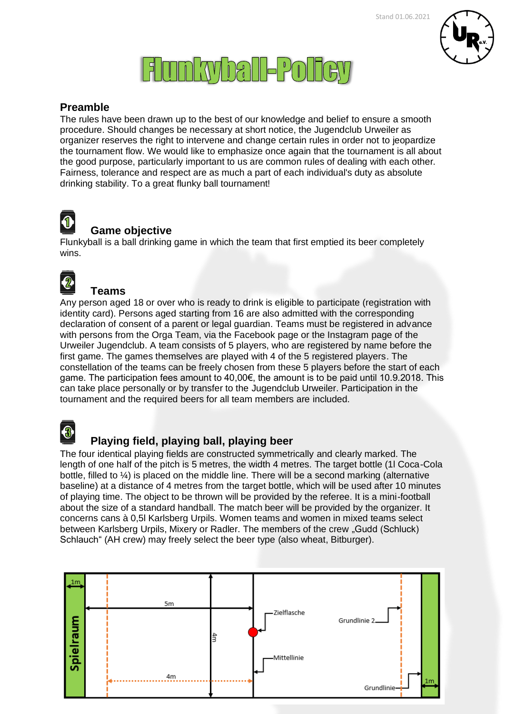

# **Flunkyball-Policy**

### **Preamble**

The rules have been drawn up to the best of our knowledge and belief to ensure a smooth procedure. Should changes be necessary at short notice, the Jugendclub Urweiler as organizer reserves the right to intervene and change certain rules in order not to jeopardize the tournament flow. We would like to emphasize once again that the tournament is all about the good purpose, particularly important to us are common rules of dealing with each other. Fairness, tolerance and respect are as much a part of each individual's duty as absolute drinking stability. To a great flunky ball tournament!



### **Game objective**

Flunkyball is a ball drinking game in which the team that first emptied its beer completely wins.



### **Teams**

Any person aged 18 or over who is ready to drink is eligible to participate (registration with identity card). Persons aged starting from 16 are also admitted with the corresponding declaration of consent of a parent or legal guardian. Teams must be registered in advance with persons from the Orga Team, via the Facebook page or the Instagram page of the Urweiler Jugendclub. A team consists of 5 players, who are registered by name before the first game. The games themselves are played with 4 of the 5 registered players. The constellation of the teams can be freely chosen from these 5 players before the start of each game. The participation fees amount to 40,00€, the amount is to be paid until 10.9.2018. This can take place personally or by transfer to the Jugendclub Urweiler. Participation in the tournament and the required beers for all team members are included.



### **Playing field, playing ball, playing beer**

The four identical playing fields are constructed symmetrically and clearly marked. The length of one half of the pitch is 5 metres, the width 4 metres. The target bottle (1l Coca-Cola bottle, filled to ¼) is placed on the middle line. There will be a second marking (alternative baseline) at a distance of 4 metres from the target bottle, which will be used after 10 minutes of playing time. The object to be thrown will be provided by the referee. It is a mini-football about the size of a standard handball. The match beer will be provided by the organizer. It concerns cans à 0,5l Karlsberg Urpils. Women teams and women in mixed teams select between Karlsberg Urpils, Mixery or Radler. The members of the crew "Gudd (Schluck) Schlauch" (AH crew) may freely select the beer type (also wheat, Bitburger).

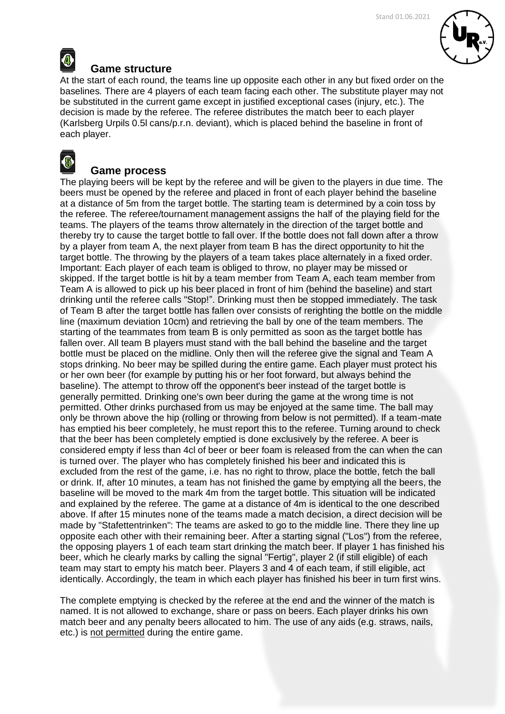

### **Game structure**

At the start of each round, the teams line up opposite each other in any but fixed order on the baselines. There are 4 players of each team facing each other. The substitute player may not be substituted in the current game except in justified exceptional cases (injury, etc.). The decision is made by the referee. The referee distributes the match beer to each player (Karlsberg Urpils 0.5l cans/p.r.n. deviant), which is placed behind the baseline in front of each player.



### **Game process**

The playing beers will be kept by the referee and will be given to the players in due time. The beers must be opened by the referee and placed in front of each player behind the baseline at a distance of 5m from the target bottle. The starting team is determined by a coin toss by the referee. The referee/tournament management assigns the half of the playing field for the teams. The players of the teams throw alternately in the direction of the target bottle and thereby try to cause the target bottle to fall over. If the bottle does not fall down after a throw by a player from team A, the next player from team B has the direct opportunity to hit the target bottle. The throwing by the players of a team takes place alternately in a fixed order. Important: Each player of each team is obliged to throw, no player may be missed or skipped. If the target bottle is hit by a team member from Team A, each team member from Team A is allowed to pick up his beer placed in front of him (behind the baseline) and start drinking until the referee calls "Stop!". Drinking must then be stopped immediately. The task of Team B after the target bottle has fallen over consists of rerighting the bottle on the middle line (maximum deviation 10cm) and retrieving the ball by one of the team members. The starting of the teammates from team B is only permitted as soon as the target bottle has fallen over. All team B players must stand with the ball behind the baseline and the target bottle must be placed on the midline. Only then will the referee give the signal and Team A stops drinking. No beer may be spilled during the entire game. Each player must protect his or her own beer (for example by putting his or her foot forward, but always behind the baseline). The attempt to throw off the opponent's beer instead of the target bottle is generally permitted. Drinking one's own beer during the game at the wrong time is not permitted. Other drinks purchased from us may be enjoyed at the same time. The ball may only be thrown above the hip (rolling or throwing from below is not permitted). If a team-mate has emptied his beer completely, he must report this to the referee. Turning around to check that the beer has been completely emptied is done exclusively by the referee. A beer is considered empty if less than 4cl of beer or beer foam is released from the can when the can is turned over. The player who has completely finished his beer and indicated this is excluded from the rest of the game, i.e. has no right to throw, place the bottle, fetch the ball or drink. If, after 10 minutes, a team has not finished the game by emptying all the beers, the baseline will be moved to the mark 4m from the target bottle. This situation will be indicated and explained by the referee. The game at a distance of 4m is identical to the one described above. If after 15 minutes none of the teams made a match decision, a direct decision will be made by "Stafettentrinken": The teams are asked to go to the middle line. There they line up opposite each other with their remaining beer. After a starting signal ("Los") from the referee, the opposing players 1 of each team start drinking the match beer. If player 1 has finished his beer, which he clearly marks by calling the signal "Fertig", player 2 (if still eligible) of each team may start to empty his match beer. Players 3 and 4 of each team, if still eligible, act identically. Accordingly, the team in which each player has finished his beer in turn first wins.

The complete emptying is checked by the referee at the end and the winner of the match is named. It is not allowed to exchange, share or pass on beers. Each player drinks his own match beer and any penalty beers allocated to him. The use of any aids (e.g. straws, nails, etc.) is not permitted during the entire game.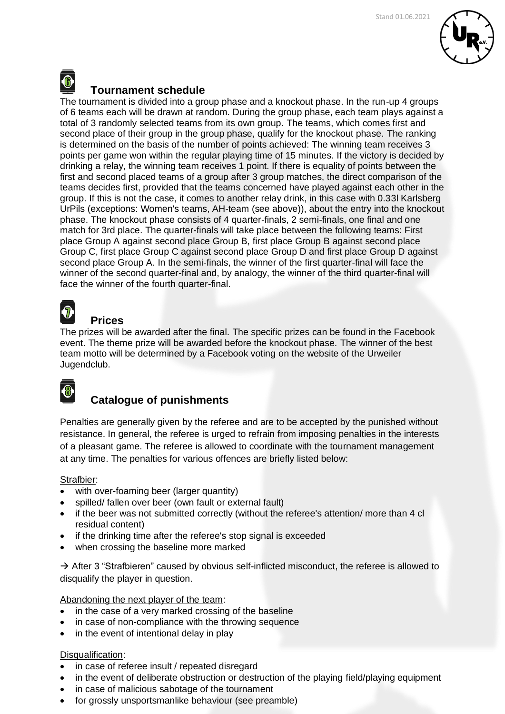

### **Tournament schedule**

The tournament is divided into a group phase and a knockout phase. In the run-up 4 groups of 6 teams each will be drawn at random. During the group phase, each team plays against a total of 3 randomly selected teams from its own group. The teams, which comes first and second place of their group in the group phase, qualify for the knockout phase. The ranking is determined on the basis of the number of points achieved: The winning team receives 3 points per game won within the regular playing time of 15 minutes. If the victory is decided by drinking a relay, the winning team receives 1 point. If there is equality of points between the first and second placed teams of a group after 3 group matches, the direct comparison of the teams decides first, provided that the teams concerned have played against each other in the group. If this is not the case, it comes to another relay drink, in this case with 0.33l Karlsberg UrPils (exceptions: Women's teams, AH-team (see above)), about the entry into the knockout phase. The knockout phase consists of 4 quarter-finals, 2 semi-finals, one final and one match for 3rd place. The quarter-finals will take place between the following teams: First place Group A against second place Group B, first place Group B against second place Group C, first place Group C against second place Group D and first place Group D against second place Group A. In the semi-finals, the winner of the first quarter-final will face the winner of the second quarter-final and, by analogy, the winner of the third quarter-final will face the winner of the fourth quarter-final.

### **Prices**

The prizes will be awarded after the final. The specific prizes can be found in the Facebook event. The theme prize will be awarded before the knockout phase. The winner of the best team motto will be determined by a Facebook voting on the website of the Urweiler Jugendclub.

## 8

### **Catalogue of punishments**

Penalties are generally given by the referee and are to be accepted by the punished without resistance. In general, the referee is urged to refrain from imposing penalties in the interests of a pleasant game. The referee is allowed to coordinate with the tournament management at any time. The penalties for various offences are briefly listed below:

### Strafbier:

- with over-foaming beer (larger quantity)
- spilled/ fallen over beer (own fault or external fault)
- if the beer was not submitted correctly (without the referee's attention/ more than 4 cl residual content)
- if the drinking time after the referee's stop signal is exceeded
- when crossing the baseline more marked

 $\rightarrow$  After 3 "Strafbieren" caused by obvious self-inflicted misconduct, the referee is allowed to disqualify the player in question.

Abandoning the next player of the team:

- in the case of a very marked crossing of the baseline
- in case of non-compliance with the throwing sequence
- in the event of intentional delay in play

### Disqualification:

- in case of referee insult / repeated disregard
- in the event of deliberate obstruction or destruction of the playing field/playing equipment
- in case of malicious sabotage of the tournament
- for grossly unsportsmanlike behaviour (see preamble)